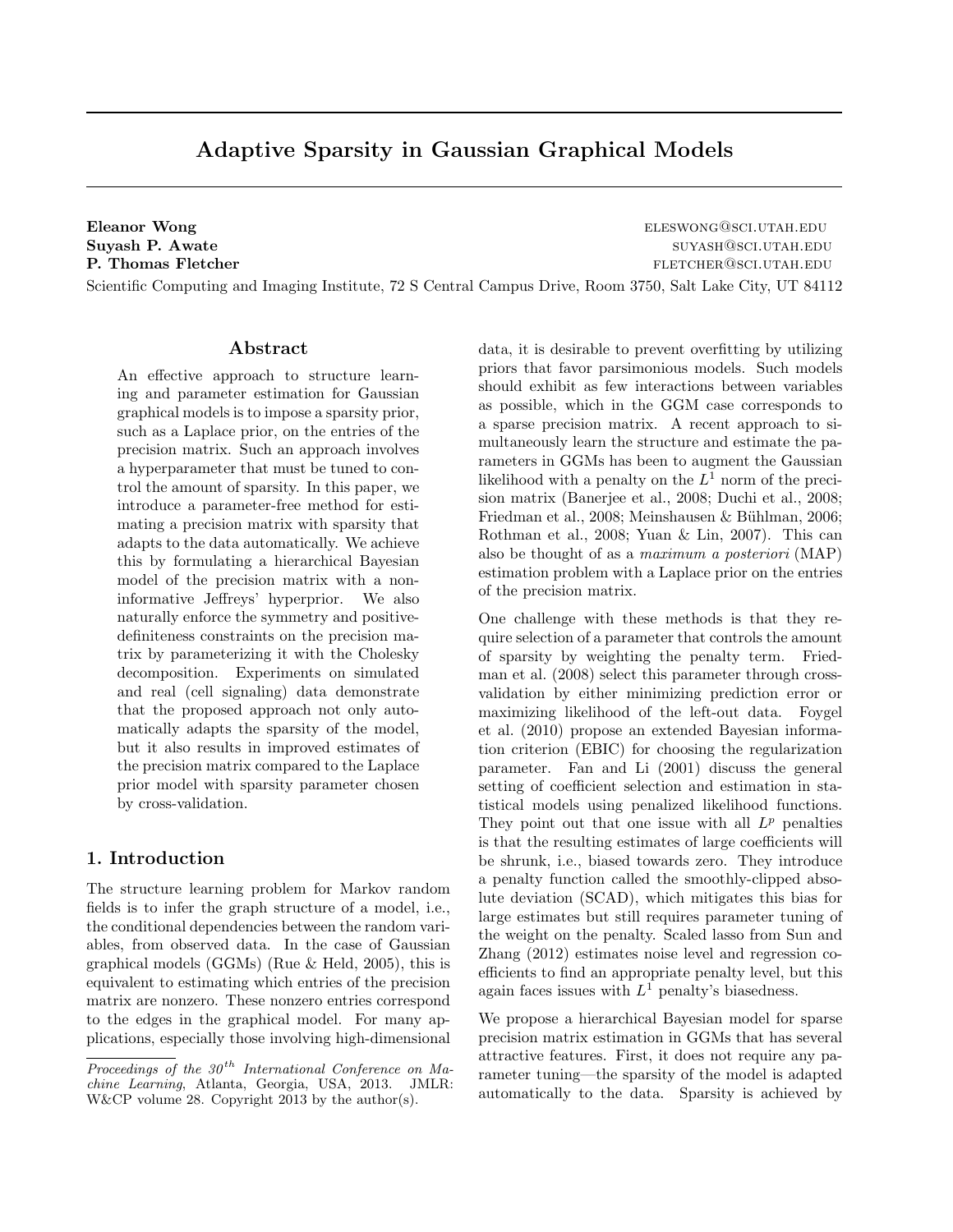# Adaptive Sparsity in Gaussian Graphical Models

Eleanor Wong eleswong@sci.utah.edu Suyash P. Awate summaring the summaring summaring summaring summaring summaring summaring summaring summaring summaring summaring summaring summaring summaring summaring summaring summaring summaring summaring summaring su **P. Thomas Fletcher fletcher fletcher fletcher fletcher fletcher fletcher fletcher fletcher fletcher fletcher fletcher fletcher fletcher fletcher fletcher fletcher fletcher fletcher fl** 

Scientific Computing and Imaging Institute, 72 S Central Campus Drive, Room 3750, Salt Lake City, UT 84112

#### Abstract

An effective approach to structure learning and parameter estimation for Gaussian graphical models is to impose a sparsity prior, such as a Laplace prior, on the entries of the precision matrix. Such an approach involves a hyperparameter that must be tuned to control the amount of sparsity. In this paper, we introduce a parameter-free method for estimating a precision matrix with sparsity that adapts to the data automatically. We achieve this by formulating a hierarchical Bayesian model of the precision matrix with a noninformative Jeffreys' hyperprior. We also naturally enforce the symmetry and positivedefiniteness constraints on the precision matrix by parameterizing it with the Cholesky decomposition. Experiments on simulated and real (cell signaling) data demonstrate that the proposed approach not only automatically adapts the sparsity of the model, but it also results in improved estimates of the precision matrix compared to the Laplace prior model with sparsity parameter chosen by cross-validation.

## 1. Introduction

The structure learning problem for Markov random fields is to infer the graph structure of a model, i.e., the conditional dependencies between the random variables, from observed data. In the case of Gaussian graphical models (GGMs) (Rue & Held, 2005), this is equivalent to estimating which entries of the precision matrix are nonzero. These nonzero entries correspond to the edges in the graphical model. For many applications, especially those involving high-dimensional data, it is desirable to prevent overfitting by utilizing priors that favor parsimonious models. Such models should exhibit as few interactions between variables as possible, which in the GGM case corresponds to a sparse precision matrix. A recent approach to simultaneously learn the structure and estimate the parameters in GGMs has been to augment the Gaussian likelihood with a penalty on the  $L^1$  norm of the precision matrix (Banerjee et al., 2008; Duchi et al., 2008; Friedman et al., 2008; Meinshausen & Bühlman, 2006; Rothman et al., 2008; Yuan & Lin, 2007). This can also be thought of as a maximum a posteriori (MAP) estimation problem with a Laplace prior on the entries of the precision matrix.

One challenge with these methods is that they require selection of a parameter that controls the amount of sparsity by weighting the penalty term. Friedman et al. (2008) select this parameter through crossvalidation by either minimizing prediction error or maximizing likelihood of the left-out data. Foygel et al. (2010) propose an extended Bayesian information criterion (EBIC) for choosing the regularization parameter. Fan and Li (2001) discuss the general setting of coefficient selection and estimation in statistical models using penalized likelihood functions. They point out that one issue with all  $L^p$  penalties is that the resulting estimates of large coefficients will be shrunk, i.e., biased towards zero. They introduce a penalty function called the smoothly-clipped absolute deviation (SCAD), which mitigates this bias for large estimates but still requires parameter tuning of the weight on the penalty. Scaled lasso from Sun and Zhang (2012) estimates noise level and regression coefficients to find an appropriate penalty level, but this again faces issues with  $L^1$  penalty's biasedness.

We propose a hierarchical Bayesian model for sparse precision matrix estimation in GGMs that has several attractive features. First, it does not require any parameter tuning—the sparsity of the model is adapted automatically to the data. Sparsity is achieved by

Proceedings of the  $30<sup>th</sup>$  International Conference on Machine Learning, Atlanta, Georgia, USA, 2013. JMLR: W&CP volume 28. Copyright 2013 by the author(s).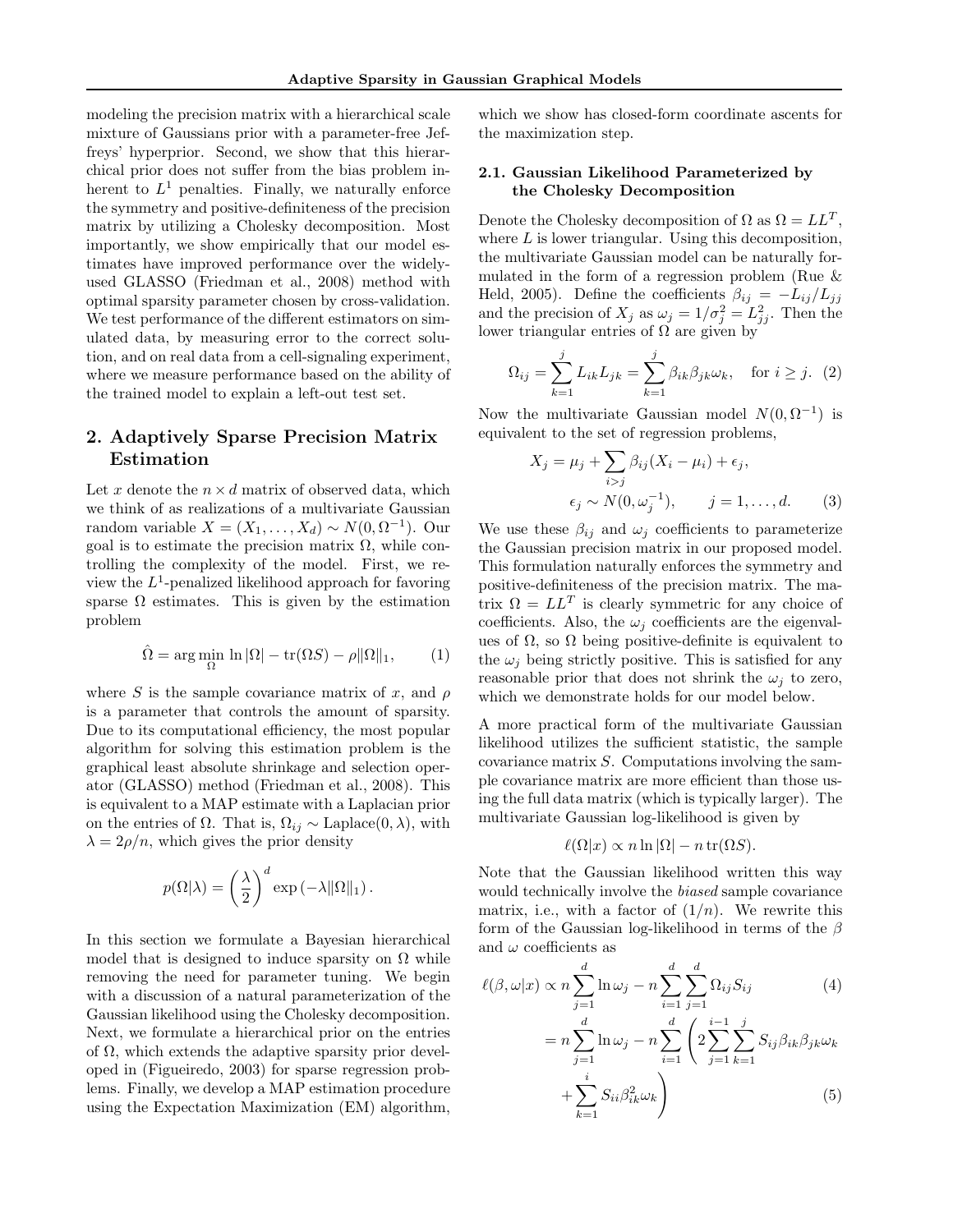modeling the precision matrix with a hierarchical scale mixture of Gaussians prior with a parameter-free Jeffreys' hyperprior. Second, we show that this hierarchical prior does not suffer from the bias problem inherent to  $L^1$  penalties. Finally, we naturally enforce the symmetry and positive-definiteness of the precision matrix by utilizing a Cholesky decomposition. Most importantly, we show empirically that our model estimates have improved performance over the widelyused GLASSO (Friedman et al., 2008) method with optimal sparsity parameter chosen by cross-validation. We test performance of the different estimators on simulated data, by measuring error to the correct solution, and on real data from a cell-signaling experiment, where we measure performance based on the ability of the trained model to explain a left-out test set.

# 2. Adaptively Sparse Precision Matrix Estimation

Let x denote the  $n \times d$  matrix of observed data, which we think of as realizations of a multivariate Gaussian random variable  $X = (X_1, \ldots, X_d) \sim N(0, \Omega^{-1})$ . Our goal is to estimate the precision matrix  $\Omega$ , while controlling the complexity of the model. First, we review the  $L^1$ -penalized likelihood approach for favoring sparse  $\Omega$  estimates. This is given by the estimation problem

$$
\hat{\Omega} = \arg\min_{\Omega} \ln |\Omega| - \text{tr}(\Omega S) - \rho \|\Omega\|_1,\tag{1}
$$

where S is the sample covariance matrix of x, and  $\rho$ is a parameter that controls the amount of sparsity. Due to its computational efficiency, the most popular algorithm for solving this estimation problem is the graphical least absolute shrinkage and selection operator (GLASSO) method (Friedman et al., 2008). This is equivalent to a MAP estimate with a Laplacian prior on the entries of  $\Omega$ . That is,  $\Omega_{ij} \sim \text{Laplace}(0, \lambda)$ , with  $\lambda = 2\rho/n$ , which gives the prior density

$$
p(\Omega|\lambda) = \left(\frac{\lambda}{2}\right)^d \exp\left(-\lambda\|\Omega\|_1\right).
$$

In this section we formulate a Bayesian hierarchical model that is designed to induce sparsity on  $\Omega$  while removing the need for parameter tuning. We begin with a discussion of a natural parameterization of the Gaussian likelihood using the Cholesky decomposition. Next, we formulate a hierarchical prior on the entries of  $\Omega$ , which extends the adaptive sparsity prior developed in (Figueiredo, 2003) for sparse regression problems. Finally, we develop a MAP estimation procedure using the Expectation Maximization (EM) algorithm,

which we show has closed-form coordinate ascents for the maximization step.

## 2.1. Gaussian Likelihood Parameterized by the Cholesky Decomposition

Denote the Cholesky decomposition of  $\Omega$  as  $\Omega = LL^T$ , where  $L$  is lower triangular. Using this decomposition, the multivariate Gaussian model can be naturally formulated in the form of a regression problem (Rue & Held, 2005). Define the coefficients  $\beta_{ij} = -L_{ij}/L_{jj}$ and the precision of  $X_j$  as  $\omega_j = 1/\sigma_j^2 = L_{jj}^2$ . Then the lower triangular entries of  $\Omega$  are given by

$$
\Omega_{ij} = \sum_{k=1}^{j} L_{ik} L_{jk} = \sum_{k=1}^{j} \beta_{ik} \beta_{jk} \omega_k, \quad \text{for } i \ge j. \tag{2}
$$

Now the multivariate Gaussian model  $N(0, \Omega^{-1})$  is equivalent to the set of regression problems,

$$
X_j = \mu_j + \sum_{i>j} \beta_{ij} (X_i - \mu_i) + \epsilon_j,
$$
  

$$
\epsilon_j \sim N(0, \omega_j^{-1}), \qquad j = 1, ..., d.
$$
 (3)

We use these  $\beta_{ij}$  and  $\omega_j$  coefficients to parameterize the Gaussian precision matrix in our proposed model. This formulation naturally enforces the symmetry and positive-definiteness of the precision matrix. The matrix  $\Omega = LL^T$  is clearly symmetric for any choice of coefficients. Also, the  $\omega_i$  coefficients are the eigenvalues of  $\Omega$ , so  $\Omega$  being positive-definite is equivalent to the  $\omega_i$  being strictly positive. This is satisfied for any reasonable prior that does not shrink the  $\omega_i$  to zero, which we demonstrate holds for our model below.

A more practical form of the multivariate Gaussian likelihood utilizes the sufficient statistic, the sample covariance matrix S. Computations involving the sample covariance matrix are more efficient than those using the full data matrix (which is typically larger). The multivariate Gaussian log-likelihood is given by

$$
\ell(\Omega|x) \propto n \ln |\Omega| - n \operatorname{tr}(\Omega S).
$$

Note that the Gaussian likelihood written this way would technically involve the biased sample covariance matrix, i.e., with a factor of  $(1/n)$ . We rewrite this form of the Gaussian log-likelihood in terms of the  $\beta$ and  $\omega$  coefficients as

$$
\ell(\beta, \omega | x) \propto n \sum_{j=1}^{d} \ln \omega_j - n \sum_{i=1}^{d} \sum_{j=1}^{d} \Omega_{ij} S_{ij}
$$
\n
$$
= n \sum_{j=1}^{d} \ln \omega_j - n \sum_{i=1}^{d} \left( 2 \sum_{j=1}^{i-1} \sum_{k=1}^{j} S_{ij} \beta_{ik} \beta_{jk} \omega_k + \sum_{k=1}^{i} S_{ii} \beta_{ik}^2 \omega_k \right)
$$
\n
$$
(5)
$$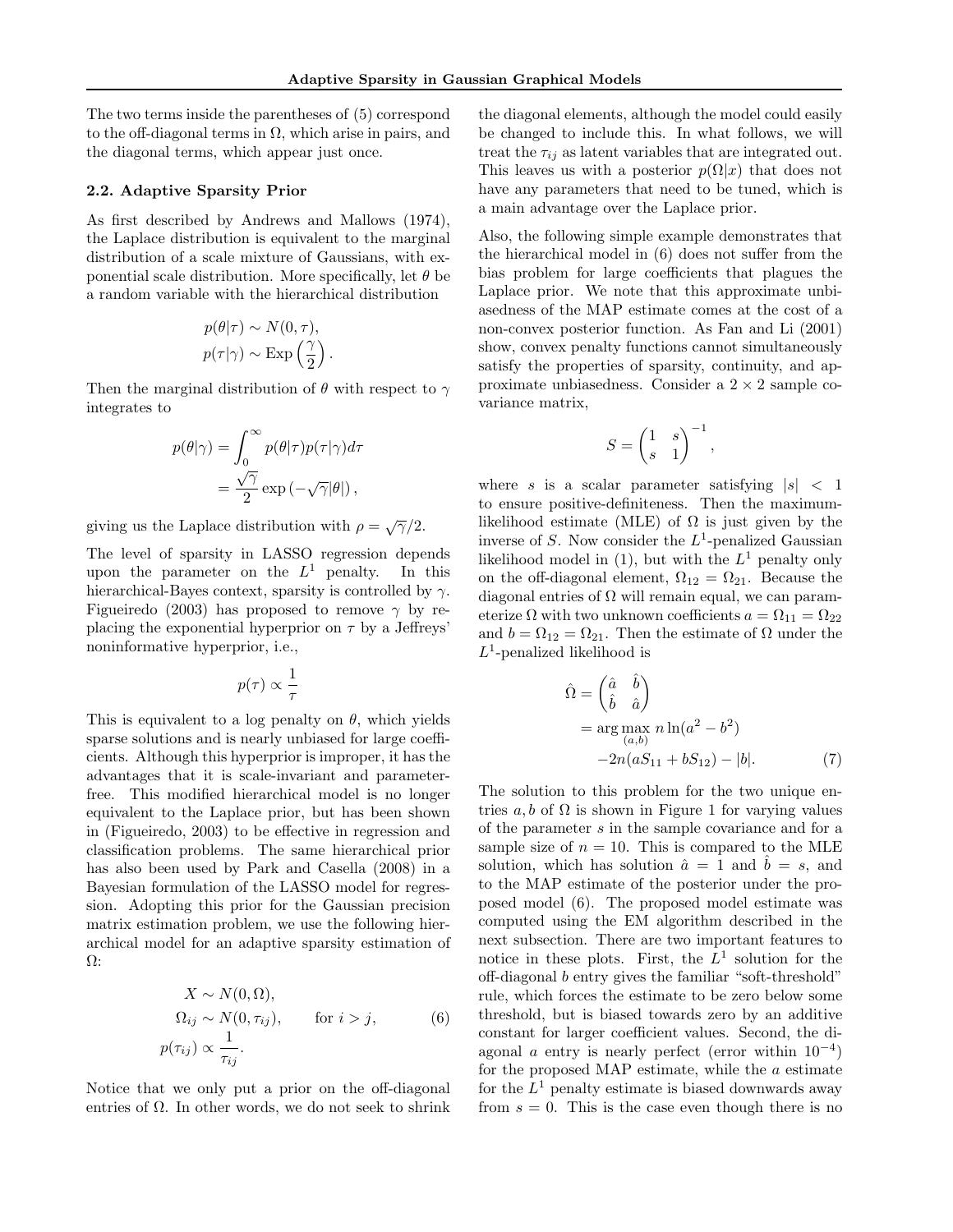The two terms inside the parentheses of (5) correspond to the off-diagonal terms in  $\Omega$ , which arise in pairs, and the diagonal terms, which appear just once.

#### 2.2. Adaptive Sparsity Prior

As first described by Andrews and Mallows (1974), the Laplace distribution is equivalent to the marginal distribution of a scale mixture of Gaussians, with exponential scale distribution. More specifically, let  $\theta$  be a random variable with the hierarchical distribution

$$
p(\theta|\tau) \sim N(0, \tau),
$$
  

$$
p(\tau|\gamma) \sim \text{Exp}\left(\frac{\gamma}{2}\right).
$$

Then the marginal distribution of  $\theta$  with respect to  $\gamma$ integrates to

$$
p(\theta|\gamma) = \int_0^\infty p(\theta|\tau)p(\tau|\gamma)d\tau
$$
  
= 
$$
\frac{\sqrt{\gamma}}{2} \exp(-\sqrt{\gamma}|\theta|),
$$

giving us the Laplace distribution with  $\rho = \sqrt{\gamma}/2$ .

The level of sparsity in LASSO regression depends upon the parameter on the  $L^1$  penalty. In this hierarchical-Bayes context, sparsity is controlled by  $\gamma$ . Figueiredo (2003) has proposed to remove  $\gamma$  by replacing the exponential hyperprior on  $\tau$  by a Jeffreys' noninformative hyperprior, i.e.,

$$
p(\tau) \propto \frac{1}{\tau}
$$

This is equivalent to a log penalty on  $\theta$ , which yields sparse solutions and is nearly unbiased for large coefficients. Although this hyperprior is improper, it has the advantages that it is scale-invariant and parameterfree. This modified hierarchical model is no longer equivalent to the Laplace prior, but has been shown in (Figueiredo, 2003) to be effective in regression and classification problems. The same hierarchical prior has also been used by Park and Casella (2008) in a Bayesian formulation of the LASSO model for regression. Adopting this prior for the Gaussian precision matrix estimation problem, we use the following hierarchical model for an adaptive sparsity estimation of Ω:

$$
X \sim N(0, \Omega),
$$
  
\n
$$
\Omega_{ij} \sim N(0, \tau_{ij}), \quad \text{for } i > j,
$$
  
\n
$$
p(\tau_{ij}) \propto \frac{1}{\tau_{ij}}.
$$
 (6)

Notice that we only put a prior on the off-diagonal entries of  $\Omega$ . In other words, we do not seek to shrink

the diagonal elements, although the model could easily be changed to include this. In what follows, we will treat the  $\tau_{ij}$  as latent variables that are integrated out. This leaves us with a posterior  $p(\Omega|x)$  that does not have any parameters that need to be tuned, which is a main advantage over the Laplace prior.

Also, the following simple example demonstrates that the hierarchical model in (6) does not suffer from the bias problem for large coefficients that plagues the Laplace prior. We note that this approximate unbiasedness of the MAP estimate comes at the cost of a non-convex posterior function. As Fan and Li (2001) show, convex penalty functions cannot simultaneously satisfy the properties of sparsity, continuity, and approximate unbiasedness. Consider a  $2 \times 2$  sample covariance matrix,

$$
S = \begin{pmatrix} 1 & s \\ s & 1 \end{pmatrix}^{-1},
$$

where s is a scalar parameter satisfying  $|s| < 1$ to ensure positive-definiteness. Then the maximumlikelihood estimate (MLE) of  $\Omega$  is just given by the inverse of S. Now consider the  $L^1$ -penalized Gaussian likelihood model in  $(1)$ , but with the  $L<sup>1</sup>$  penalty only on the off-diagonal element,  $\Omega_{12} = \Omega_{21}$ . Because the diagonal entries of  $\Omega$  will remain equal, we can parameterize  $\Omega$  with two unknown coefficients  $a = \Omega_{11} = \Omega_{22}$ and  $b = \Omega_{12} = \Omega_{21}$ . Then the estimate of  $\Omega$  under the  $L^1$ -penalized likelihood is

$$
\hat{\Omega} = \begin{pmatrix} \hat{a} & \hat{b} \\ \hat{b} & \hat{a} \end{pmatrix} \n= \arg \max_{(a,b)} n \ln(a^2 - b^2) \n-2n(aS_{11} + bS_{12}) - |b|.
$$
\n(7)

The solution to this problem for the two unique entries a, b of  $\Omega$  is shown in Figure 1 for varying values of the parameter s in the sample covariance and for a sample size of  $n = 10$ . This is compared to the MLE solution, which has solution  $\hat{a} = 1$  and  $\hat{b} = s$ , and to the MAP estimate of the posterior under the proposed model (6). The proposed model estimate was computed using the EM algorithm described in the next subsection. There are two important features to notice in these plots. First, the  $L^1$  solution for the off-diagonal b entry gives the familiar "soft-threshold" rule, which forces the estimate to be zero below some threshold, but is biased towards zero by an additive constant for larger coefficient values. Second, the diagonal  $\alpha$  entry is nearly perfect (error within  $10^{-4}$ ) for the proposed MAP estimate, while the  $a$  estimate for the  $L^1$  penalty estimate is biased downwards away from  $s = 0$ . This is the case even though there is no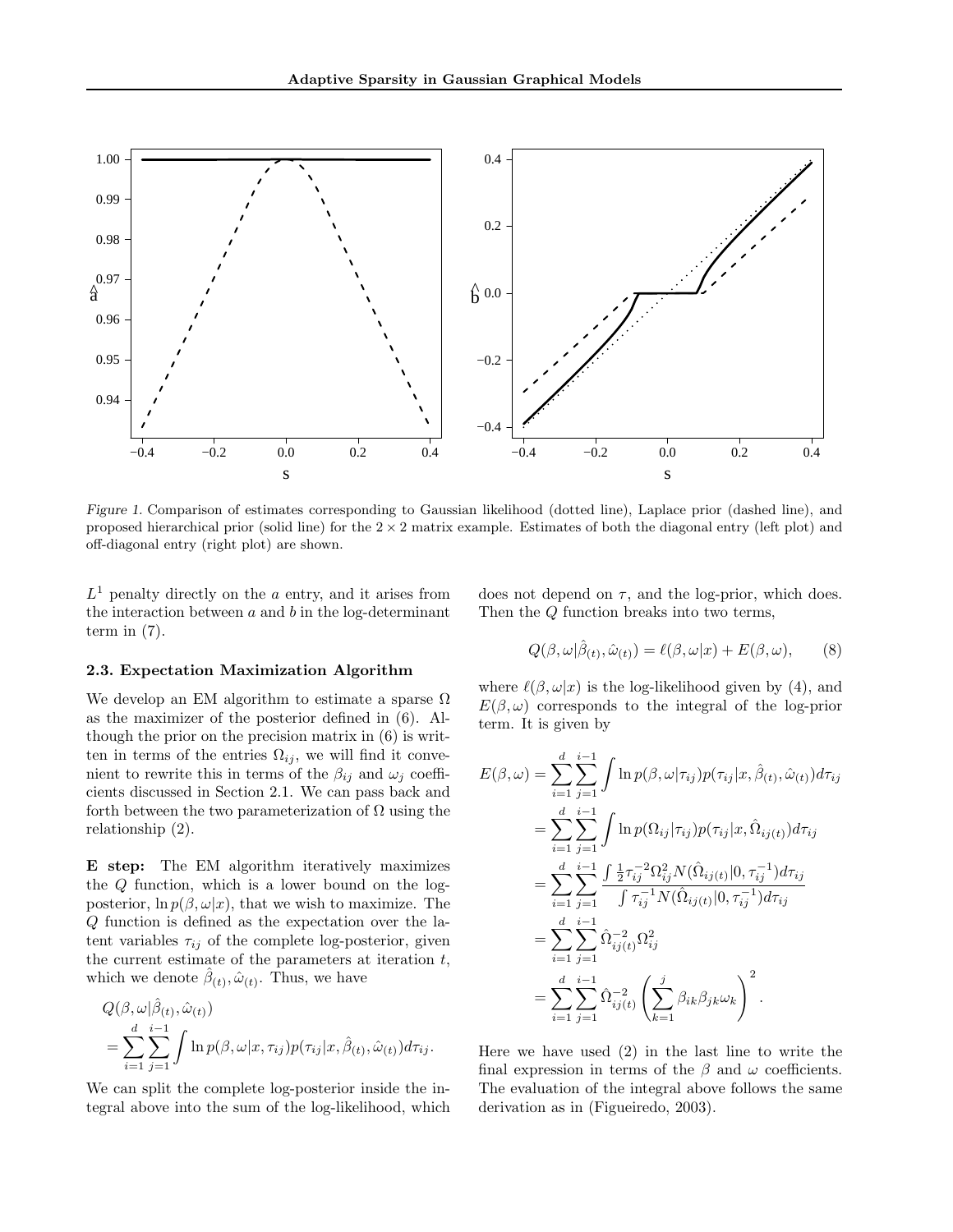

Figure 1. Comparison of estimates corresponding to Gaussian likelihood (dotted line), Laplace prior (dashed line), and proposed hierarchical prior (solid line) for the  $2 \times 2$  matrix example. Estimates of both the diagonal entry (left plot) and off-diagonal entry (right plot) are shown.

 $L<sup>1</sup>$  penalty directly on the a entry, and it arises from the interaction between  $a$  and  $b$  in the log-determinant term in (7).

does not depend on  $\tau$ , and the log-prior, which does. Then the Q function breaks into two terms,

 $\alpha(8, 18)$ 

#### 2.3. Expectation Maximization Algorithm

We develop an EM algorithm to estimate a sparse  $\Omega$ as the maximizer of the posterior defined in (6). Although the prior on the precision matrix in (6) is written in terms of the entries  $\Omega_{ij}$ , we will find it convenient to rewrite this in terms of the  $\beta_{ij}$  and  $\omega_j$  coefficients discussed in Section 2.1. We can pass back and forth between the two parameterization of  $\Omega$  using the relationship (2).

E step: The EM algorithm iteratively maximizes the Q function, which is a lower bound on the logposterior,  $\ln p(\beta, \omega|x)$ , that we wish to maximize. The Q function is defined as the expectation over the latent variables  $\tau_{ij}$  of the complete log-posterior, given the current estimate of the parameters at iteration  $t$ , which we denote  $\hat{\beta}_{(t)}, \hat{\omega}_{(t)}$ . Thus, we have

$$
Q(\beta, \omega | \hat{\beta}_{(t)}, \hat{\omega}_{(t)})
$$
  
= 
$$
\sum_{i=1}^{d} \sum_{j=1}^{i-1} \int \ln p(\beta, \omega | x, \tau_{ij}) p(\tau_{ij} | x, \hat{\beta}_{(t)}, \hat{\omega}_{(t)}) d\tau_{ij}.
$$

We can split the complete log-posterior inside the integral above into the sum of the log-likelihood, which

$$
Q(\beta, \omega | \hat{\beta}_{(t)}, \hat{\omega}_{(t)}) = \ell(\beta, \omega | x) + E(\beta, \omega), \qquad (8)
$$

where  $\ell(\beta, \omega|x)$  is the log-likelihood given by (4), and  $E(\beta,\omega)$  corresponds to the integral of the log-prior term. It is given by

$$
E(\beta,\omega) = \sum_{i=1}^{d} \sum_{j=1}^{i-1} \int \ln p(\beta,\omega|\tau_{ij}) p(\tau_{ij}|x,\hat{\beta}_{(t)},\hat{\omega}_{(t)}) d\tau_{ij}
$$
  
\n
$$
= \sum_{i=1}^{d} \sum_{j=1}^{i-1} \int \ln p(\Omega_{ij}|\tau_{ij}) p(\tau_{ij}|x,\hat{\Omega}_{ij(t)}) d\tau_{ij}
$$
  
\n
$$
= \sum_{i=1}^{d} \sum_{j=1}^{i-1} \frac{\int \frac{1}{2} \tau_{ij}^{-2} \Omega_{ij}^{2} N(\hat{\Omega}_{ij(t)}|0, \tau_{ij}^{-1}) d\tau_{ij}}{\int \tau_{ij}^{-1} N(\hat{\Omega}_{ij(t)}|0, \tau_{ij}^{-1}) d\tau_{ij}}
$$
  
\n
$$
= \sum_{i=1}^{d} \sum_{j=1}^{i-1} \hat{\Omega}_{ij(t)}^{-2} \Omega_{ij}^{2}
$$
  
\n
$$
= \sum_{i=1}^{d} \sum_{j=1}^{i-1} \hat{\Omega}_{ij(t)}^{-2} \left( \sum_{k=1}^{j} \beta_{ik} \beta_{jk} \omega_k \right)^2.
$$

Here we have used (2) in the last line to write the final expression in terms of the  $\beta$  and  $\omega$  coefficients. The evaluation of the integral above follows the same derivation as in (Figueiredo, 2003).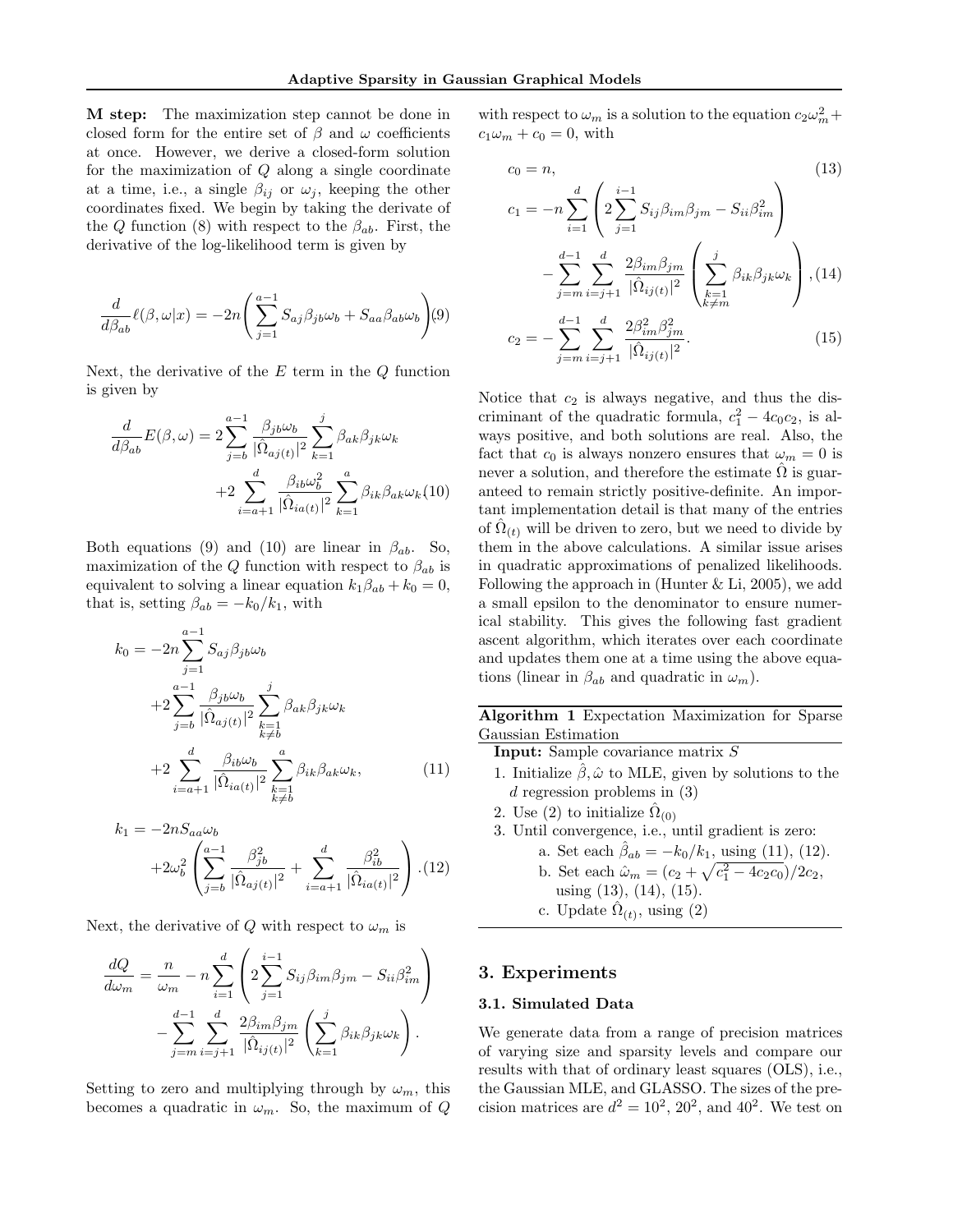M step: The maximization step cannot be done in closed form for the entire set of  $\beta$  and  $\omega$  coefficients at once. However, we derive a closed-form solution for the maximization of  $Q$  along a single coordinate at a time, i.e., a single  $\beta_{ij}$  or  $\omega_j$ , keeping the other coordinates fixed. We begin by taking the derivate of the Q function (8) with respect to the  $\beta_{ab}$ . First, the derivative of the log-likelihood term is given by

$$
\frac{d}{d\beta_{ab}}\ell(\beta,\omega|x) = -2n\left(\sum_{j=1}^{a-1} S_{aj}\beta_{jb}\omega_b + S_{aa}\beta_{ab}\omega_b\right)(9)
$$

Next, the derivative of the  $E$  term in the  $Q$  function is given by

$$
\frac{d}{d\beta_{ab}}E(\beta,\omega) = 2\sum_{j=b}^{a-1} \frac{\beta_{jb}\omega_b}{|\hat{\Omega}_{aj(t)}|^2} \sum_{k=1}^j \beta_{ak}\beta_{jk}\omega_k
$$

$$
+2\sum_{i=a+1}^d \frac{\beta_{ib}\omega_b^2}{|\hat{\Omega}_{ia(t)}|^2} \sum_{k=1}^a \beta_{ik}\beta_{ak}\omega_k(10)
$$

Both equations (9) and (10) are linear in  $\beta_{ab}$ . So, maximization of the Q function with respect to  $\beta_{ab}$  is equivalent to solving a linear equation  $k_1\beta_{ab} + k_0 = 0$ , that is, setting  $\beta_{ab} = -k_0/k_1$ , with

$$
k_0 = -2n \sum_{j=1}^{a-1} S_{aj} \beta_{jb} \omega_b
$$
  
+2 
$$
\sum_{j=b}^{a-1} \frac{\beta_{jb} \omega_b}{|\hat{\Omega}_{aj(t)}|^2} \sum_{\substack{k=1 \ k \neq b}}^{j} \beta_{ak} \beta_{jk} \omega_k
$$
  
+2 
$$
\sum_{i=a+1}^{d} \frac{\beta_{ib} \omega_b}{|\hat{\Omega}_{ia(t)}|^2} \sum_{\substack{k=1 \ k \neq b}}^{a} \beta_{ik} \beta_{ak} \omega_k,
$$
(11)

$$
k_1 = -2nS_{aa}\omega_b + 2\omega_b^2 \left(\sum_{j=b}^{a-1} \frac{\beta_{jb}^2}{|\hat{\Omega}_{aj(t)}|^2} + \sum_{i=a+1}^d \frac{\beta_{ib}^2}{|\hat{\Omega}_{ia(t)}|^2}\right). (12)
$$

Next, the derivative of Q with respect to  $\omega_m$  is

$$
\frac{dQ}{d\omega_m} = \frac{n}{\omega_m} - n \sum_{i=1}^d \left( 2 \sum_{j=1}^{i-1} S_{ij} \beta_{im} \beta_{jm} - S_{ii} \beta_{im}^2 \right)
$$

$$
- \sum_{j=m}^{d-1} \sum_{i=j+1}^d \frac{2 \beta_{im} \beta_{jm}}{|\hat{\Omega}_{ij(t)}|^2} \left( \sum_{k=1}^j \beta_{ik} \beta_{jk} \omega_k \right).
$$

Setting to zero and multiplying through by  $\omega_m$ , this becomes a quadratic in  $\omega_m$ . So, the maximum of Q

with respect to  $\omega_m$  is a solution to the equation  $c_2\omega_m^2 +$  $c_1\omega_m + c_0 = 0$ , with

$$
c_{0} = n,
$$
\n
$$
c_{1} = -n \sum_{i=1}^{d} \left( 2 \sum_{j=1}^{i-1} S_{ij} \beta_{im} \beta_{jm} - S_{ii} \beta_{im}^{2} \right)
$$
\n
$$
- \sum_{j=m}^{d-1} \sum_{i=j+1}^{d} \frac{2 \beta_{im} \beta_{jm}}{|\hat{\Omega}_{ij}(t)|^{2}} \left( \sum_{\substack{k=1 \ k \neq m}}^{j} \beta_{ik} \beta_{jk} \omega_{k} \right), (14)
$$

$$
c_2 = -\sum_{j=m}^{d-1} \sum_{i=j+1}^{d} \frac{2\beta_{im}^2 \beta_{jm}^2}{|\hat{\Omega}_{ij(t)}|^2}.
$$
 (15)

Notice that  $c_2$  is always negative, and thus the discriminant of the quadratic formula,  $c_1^2 - 4c_0c_2$ , is always positive, and both solutions are real. Also, the fact that  $c_0$  is always nonzero ensures that  $\omega_m = 0$  is never a solution, and therefore the estimate  $\Omega$  is guaranteed to remain strictly positive-definite. An important implementation detail is that many of the entries of  $\hat{\Omega}_{(t)}$  will be driven to zero, but we need to divide by them in the above calculations. A similar issue arises in quadratic approximations of penalized likelihoods. Following the approach in (Hunter  $&$  Li, 2005), we add a small epsilon to the denominator to ensure numerical stability. This gives the following fast gradient ascent algorithm, which iterates over each coordinate and updates them one at a time using the above equations (linear in  $\beta_{ab}$  and quadratic in  $\omega_m$ ).

Algorithm 1 Expectation Maximization for Sparse Gaussian Estimation

Input: Sample covariance matrix S

- 1. Initialize  $\hat{\beta}, \hat{\omega}$  to MLE, given by solutions to the d regression problems in (3)
- 2. Use (2) to initialize  $\hat{\Omega}_{(0)}$
- 3. Until convergence, i.e., until gradient is zero:
	- a. Set each  $\hat{\beta}_{ab} = -k_0/k_1$ , using (11), (12). b. Set each  $\hat{\omega}_m = (c_2 + \sqrt{c_1^2 - 4c_2c_0})/2c_2$ , using (13), (14), (15).
	- c. Update  $\hat{\Omega}_{(t)}$ , using (2)

### 3. Experiments

#### 3.1. Simulated Data

We generate data from a range of precision matrices of varying size and sparsity levels and compare our results with that of ordinary least squares (OLS), i.e., the Gaussian MLE, and GLASSO. The sizes of the precision matrices are  $d^2 = 10^2$ ,  $20^2$ , and  $40^2$ . We test on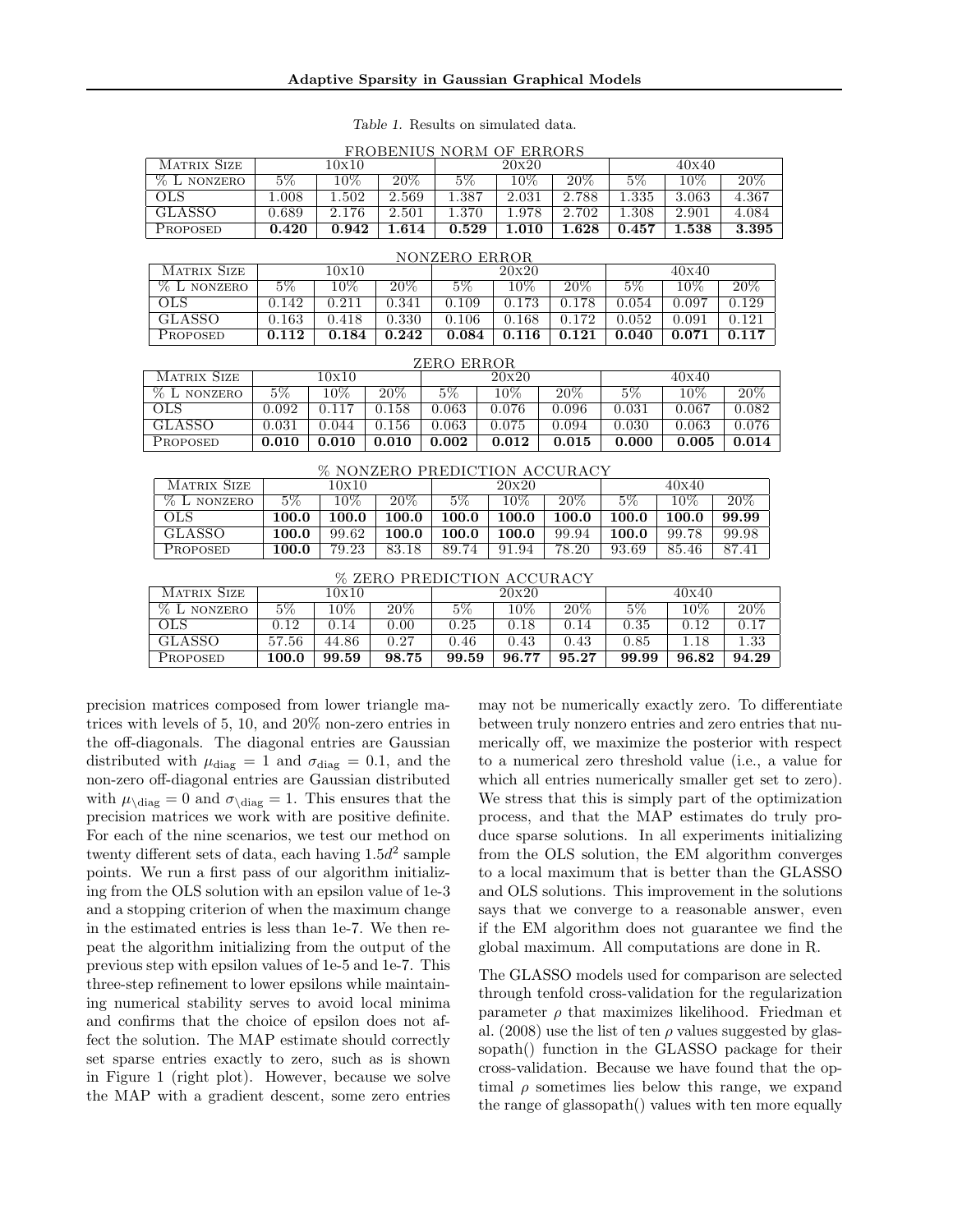| <b>MATRIX SIZE</b>                   | 10x10 |                    |        | 20x20      |        |        | 40x40 |       |                   |
|--------------------------------------|-------|--------------------|--------|------------|--------|--------|-------|-------|-------------------|
| % L NONZERO                          | $5\%$ | 10%                | $20\%$ | $5\%$      | 10%    | $20\%$ | $5\%$ | 10%   | $20\%$            |
| $_{OLS}$                             | 1.008 | 1.502              | 2.569  | 1.387      | 2.031  | 2.788  | 1.335 | 3.063 | 4.367             |
| <b>GLASSO</b>                        | 0.689 | 2.176              | 2.501  | 1.370      | 1.978  | 2.702  | 1.308 | 2.901 | 4.084             |
| PROPOSED                             | 0.420 | 0.942              | 1.614  | 0.529      | 1.010  | 1.628  | 0.457 | 1.538 | 3.395             |
|                                      |       |                    |        |            |        |        |       |       |                   |
| NONZERO ERROR                        |       |                    |        |            |        |        |       |       |                   |
| <b>MATRIX SIZE</b>                   |       | 10x10              |        |            | 20x20  |        |       | 40x40 |                   |
| <b>% L NONZERO</b>                   | $5\%$ | $10\%$             | $20\%$ | $5\%$      | 10%    | $20\%$ | $5\%$ | 10%   | $20\%$            |
| $_{OLS}$                             | 0.142 | 0.211              | 0.341  | 0.109      | 0.173  | 0.178  | 0.054 | 0.097 | 0.129             |
| <b>GLASSO</b>                        | 0.163 | 0.418              | 0.330  | 0.106      | 0.168  | 0.172  | 0.052 | 0.091 | 0.121             |
| PROPOSED                             | 0.112 | 0.184              | 0.242  | 0.084      | 0.116  | 0.121  | 0.040 | 0.071 | 0.117             |
|                                      |       |                    |        |            |        |        |       |       |                   |
|                                      |       |                    |        | ZERO ERROR |        |        |       |       |                   |
| <b>MATRIX SIZE</b>                   |       | $\overline{10x10}$ |        |            | 20x20  |        |       | 40x40 |                   |
| % L NONZERO                          | $5\%$ | $10\%$             | $20\%$ | $5\%$      | $10\%$ | $20\%$ | $5\%$ | 10%   | $20\%$            |
| OLS.                                 | 0.092 | 0.117              | 0.158  | 0.063      | 0.076  | 0.096  | 0.031 | 0.067 | 0.082             |
| GLASSO                               | 0.031 | 0.044              | 0.156  | 0.063      | 0.075  | 0.094  | 0.030 | 0.063 | 0.076             |
| PROPOSED                             | 0.010 | 0.010              | 0.010  | 0.002      | 0.012  | 0.015  | 0.000 | 0.005 | 0.014             |
| <b>% NONZERO PREDICTION ACCURACY</b> |       |                    |        |            |        |        |       |       |                   |
| <b>MATRIX SIZE</b>                   |       | 10x10              |        |            | 20x20  |        |       | 40x40 |                   |
| % L NONZERO                          | $5\%$ | $10\%$             | $20\%$ | $5\%$      | $10\%$ | $20\%$ | $5\%$ | 10%   | $\overline{20\%}$ |
| <b>OLS</b>                           | 100.0 | 100.0              | 100.0  | 100.0      | 100.0  | 100.0  | 100.0 | 100.0 | 99.99             |
| <b>GLASSO</b>                        | 100.0 | 99.62              | 100.0  | 100.0      | 100.0  | 99.94  | 100.0 | 99.78 | 99.98             |
| PROPOSED                             | 100.0 | 79.23              | 83.18  | 89.74      | 91.94  | 78.20  | 93.69 | 85.46 | 87.41             |
|                                      |       |                    |        |            |        |        |       |       |                   |
| % ZERO PREDICTION ACCURACY           |       |                    |        |            |        |        |       |       |                   |
| <b>MATRIX SIZE</b>                   |       | 10x10              |        |            | 20x20  |        |       | 40x40 |                   |
| % L NONZERO                          | $5\%$ | $10\%$             | $20\%$ | $5\%$      | $10\%$ | $20\%$ | $5\%$ | 10%   | $20\%$            |
| <b>OLS</b>                           | 0.12  | 0.14               | 0.00   | 0.25       | 0.18   | 0.14   | 0.35  | 0.12  | 0.17              |

GLASSO 57.56 44.86 0.27 0.46 0.43 0.43 0.85 1.18 1.33 Proposed 100.0 99.59 98.75 99.59 96.77 95.27 99.99 96.82 94.29

| <i>Table 1.</i> Results on simulated data. |  |  |
|--------------------------------------------|--|--|
| FROBENIUS NORM OF ERRORS                   |  |  |

may not be numerically exactly zero. To differentiate between truly nonzero entries and zero entries that numerically off, we maximize the posterior with respect to a numerical zero threshold value (i.e., a value for which all entries numerically smaller get set to zero). We stress that this is simply part of the optimization process, and that the MAP estimates do truly produce sparse solutions. In all experiments initializing from the OLS solution, the EM algorithm converges to a local maximum that is better than the GLASSO and OLS solutions. This improvement in the solutions says that we converge to a reasonable answer, even if the EM algorithm does not guarantee we find the global maximum. All computations are done in R.

The GLASSO models used for comparison are selected through tenfold cross-validation for the regularization parameter  $\rho$  that maximizes likelihood. Friedman et al. (2008) use the list of ten  $\rho$  values suggested by glassopath() function in the GLASSO package for their cross-validation. Because we have found that the optimal  $\rho$  sometimes lies below this range, we expand the range of glassopath() values with ten more equally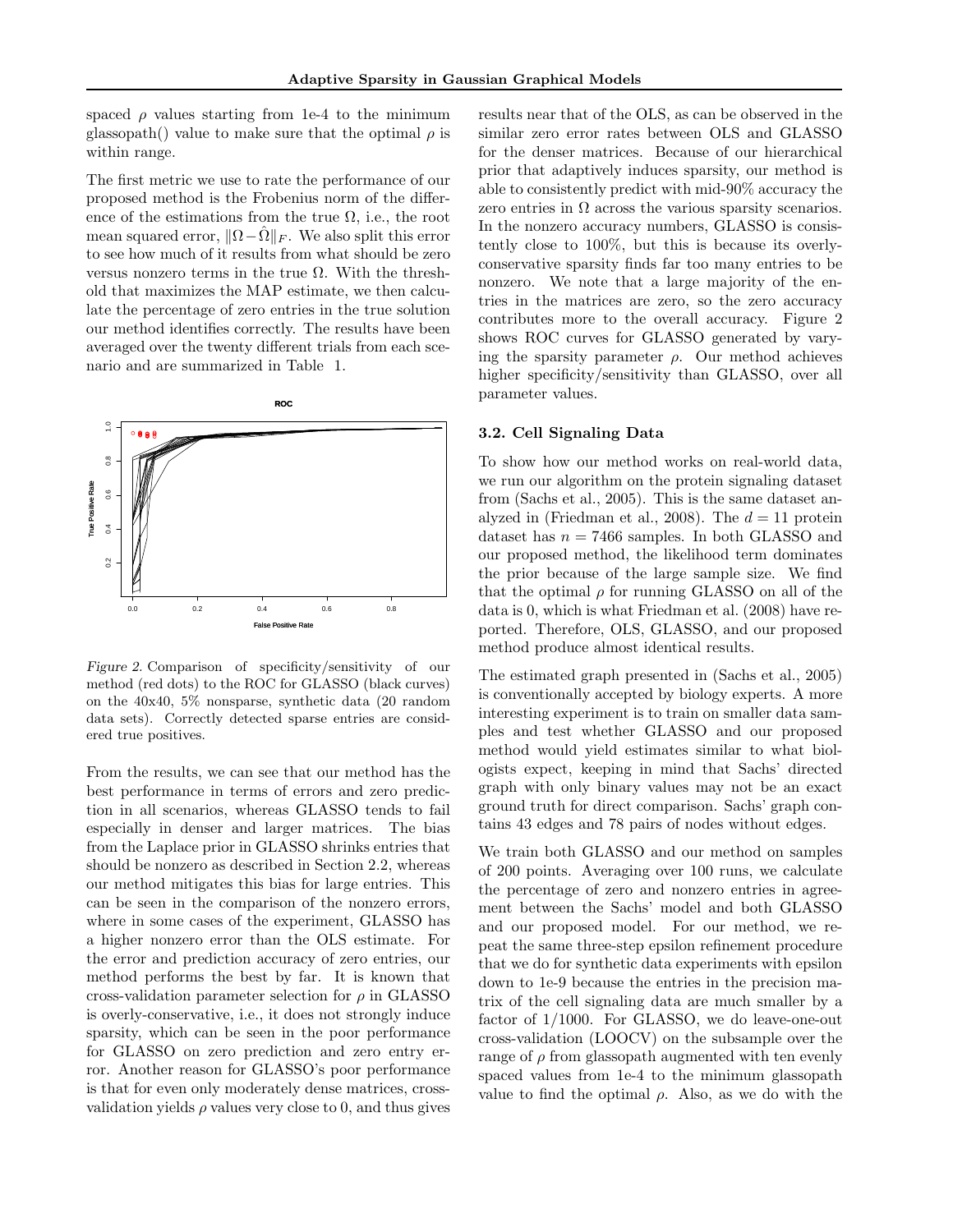spaced  $\rho$  values starting from 1e-4 to the minimum glassopath() value to make sure that the optimal  $\rho$  is within range.

The first metric we use to rate the performance of our proposed method is the Frobenius norm of the difference of the estimations from the true  $\Omega$ , i.e., the root mean squared error,  $\|\Omega-\hat{\Omega}\|_F$ . We also split this error to see how much of it results from what should be zero versus nonzero terms in the true Ω. With the threshold that maximizes the MAP estimate, we then calculate the percentage of zero entries in the true solution our method identifies correctly. The results have been averaged over the twenty different trials from each scenario and are summarized in Table 1.



Figure 2. Comparison of specificity/sensitivity of our method (red dots) to the ROC for GLASSO (black curves) on the 40x40, 5% nonsparse, synthetic data (20 random data sets). Correctly detected sparse entries are considered true positives.

From the results, we can see that our method has the best performance in terms of errors and zero prediction in all scenarios, whereas GLASSO tends to fail especially in denser and larger matrices. The bias from the Laplace prior in GLASSO shrinks entries that should be nonzero as described in Section 2.2, whereas our method mitigates this bias for large entries. This can be seen in the comparison of the nonzero errors, where in some cases of the experiment, GLASSO has a higher nonzero error than the OLS estimate. For the error and prediction accuracy of zero entries, our method performs the best by far. It is known that cross-validation parameter selection for  $\rho$  in GLASSO is overly-conservative, i.e., it does not strongly induce sparsity, which can be seen in the poor performance for GLASSO on zero prediction and zero entry error. Another reason for GLASSO's poor performance is that for even only moderately dense matrices, crossvalidation yields  $\rho$  values very close to 0, and thus gives results near that of the OLS, as can be observed in the similar zero error rates between OLS and GLASSO for the denser matrices. Because of our hierarchical prior that adaptively induces sparsity, our method is able to consistently predict with mid-90% accuracy the zero entries in  $\Omega$  across the various sparsity scenarios. In the nonzero accuracy numbers, GLASSO is consistently close to 100%, but this is because its overlyconservative sparsity finds far too many entries to be nonzero. We note that a large majority of the entries in the matrices are zero, so the zero accuracy contributes more to the overall accuracy. Figure 2 shows ROC curves for GLASSO generated by varying the sparsity parameter  $\rho$ . Our method achieves higher specificity/sensitivity than GLASSO, over all parameter values.

#### 3.2. Cell Signaling Data

To show how our method works on real-world data, we run our algorithm on the protein signaling dataset from (Sachs et al., 2005). This is the same dataset analyzed in (Friedman et al., 2008). The  $d = 11$  protein dataset has  $n = 7466$  samples. In both GLASSO and our proposed method, the likelihood term dominates the prior because of the large sample size. We find that the optimal  $\rho$  for running GLASSO on all of the data is 0, which is what Friedman et al. (2008) have reported. Therefore, OLS, GLASSO, and our proposed method produce almost identical results.

The estimated graph presented in (Sachs et al., 2005) is conventionally accepted by biology experts. A more interesting experiment is to train on smaller data samples and test whether GLASSO and our proposed method would yield estimates similar to what biologists expect, keeping in mind that Sachs' directed graph with only binary values may not be an exact ground truth for direct comparison. Sachs' graph contains 43 edges and 78 pairs of nodes without edges.

We train both GLASSO and our method on samples of 200 points. Averaging over 100 runs, we calculate the percentage of zero and nonzero entries in agreement between the Sachs' model and both GLASSO and our proposed model. For our method, we repeat the same three-step epsilon refinement procedure that we do for synthetic data experiments with epsilon down to 1e-9 because the entries in the precision matrix of the cell signaling data are much smaller by a factor of 1/1000. For GLASSO, we do leave-one-out cross-validation (LOOCV) on the subsample over the range of  $\rho$  from glassopath augmented with ten evenly spaced values from 1e-4 to the minimum glassopath value to find the optimal  $\rho$ . Also, as we do with the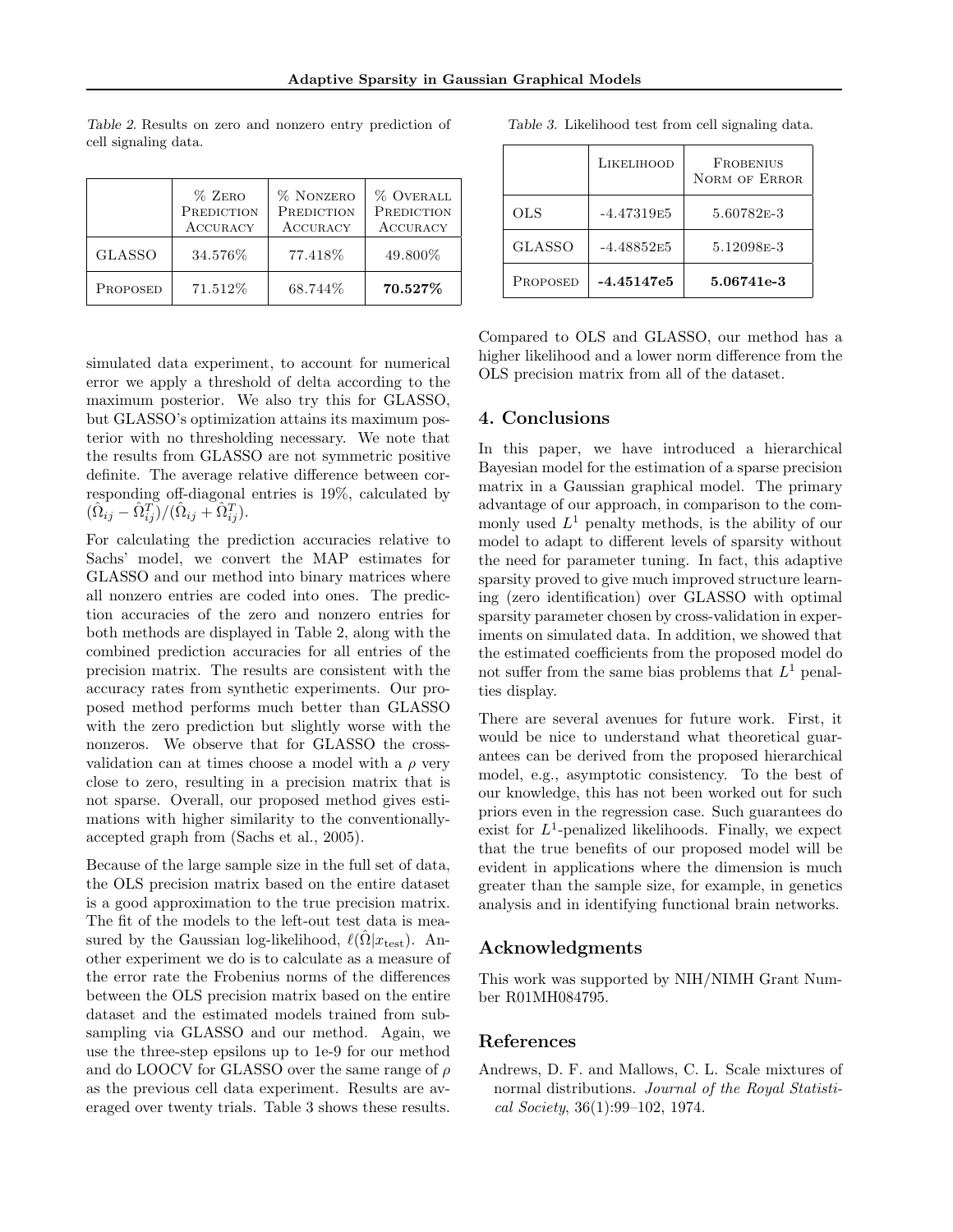|               | $%$ ZERO<br>PREDICTION<br><b>ACCURACY</b> | % NONZERO<br>PREDICTION<br><b>ACCURACY</b> | <b>% OVERALL</b><br>PREDICTION<br><b>ACCURACY</b> |
|---------------|-------------------------------------------|--------------------------------------------|---------------------------------------------------|
| <b>GLASSO</b> | 34.576%                                   | 77.418%                                    | 49.800\%                                          |
| PROPOSED      | 71.512%                                   | 68.744%                                    | 70.527%                                           |

Table 2. Results on zero and nonzero entry prediction of cell signaling data.

simulated data experiment, to account for numerical error we apply a threshold of delta according to the maximum posterior. We also try this for GLASSO, but GLASSO's optimization attains its maximum posterior with no thresholding necessary. We note that the results from GLASSO are not symmetric positive definite. The average relative difference between corresponding off-diagonal entries is 19%, calculated by  $(\hat{\Omega}_{ij} - \hat{\Omega}_{ij}^T)/(\hat{\Omega}_{ij} + \hat{\Omega}_{ij}^T).$ 

For calculating the prediction accuracies relative to Sachs' model, we convert the MAP estimates for GLASSO and our method into binary matrices where all nonzero entries are coded into ones. The prediction accuracies of the zero and nonzero entries for both methods are displayed in Table 2, along with the combined prediction accuracies for all entries of the precision matrix. The results are consistent with the accuracy rates from synthetic experiments. Our proposed method performs much better than GLASSO with the zero prediction but slightly worse with the nonzeros. We observe that for GLASSO the crossvalidation can at times choose a model with a  $\rho$  very close to zero, resulting in a precision matrix that is not sparse. Overall, our proposed method gives estimations with higher similarity to the conventionallyaccepted graph from (Sachs et al., 2005).

Because of the large sample size in the full set of data, the OLS precision matrix based on the entire dataset is a good approximation to the true precision matrix. The fit of the models to the left-out test data is measured by the Gaussian log-likelihood,  $\ell(\bar{\Omega}|x_{\text{test}})$ . Another experiment we do is to calculate as a measure of the error rate the Frobenius norms of the differences between the OLS precision matrix based on the entire dataset and the estimated models trained from subsampling via GLASSO and our method. Again, we use the three-step epsilons up to 1e-9 for our method and do LOOCV for GLASSO over the same range of  $\rho$ as the previous cell data experiment. Results are averaged over twenty trials. Table 3 shows these results.

|                 | LIKELIHOOD   | <b>FROBENIUS</b><br>NORM OF ERROR |
|-----------------|--------------|-----------------------------------|
| OLS             | $-4.47319E5$ | 5.60782E-3                        |
| <b>GLASSO</b>   | $-4.48852E5$ | 5.12098 <sub>E</sub> -3           |
| <b>PROPOSED</b> | -4.45147e5   | 5.06741e-3                        |

Table 3. Likelihood test from cell signaling data.

Compared to OLS and GLASSO, our method has a higher likelihood and a lower norm difference from the OLS precision matrix from all of the dataset.

#### 4. Conclusions

In this paper, we have introduced a hierarchical Bayesian model for the estimation of a sparse precision matrix in a Gaussian graphical model. The primary advantage of our approach, in comparison to the commonly used  $L^1$  penalty methods, is the ability of our model to adapt to different levels of sparsity without the need for parameter tuning. In fact, this adaptive sparsity proved to give much improved structure learning (zero identification) over GLASSO with optimal sparsity parameter chosen by cross-validation in experiments on simulated data. In addition, we showed that the estimated coefficients from the proposed model do not suffer from the same bias problems that  $L^1$  penalties display.

There are several avenues for future work. First, it would be nice to understand what theoretical guarantees can be derived from the proposed hierarchical model, e.g., asymptotic consistency. To the best of our knowledge, this has not been worked out for such priors even in the regression case. Such guarantees do exist for  $L^1$ -penalized likelihoods. Finally, we expect that the true benefits of our proposed model will be evident in applications where the dimension is much greater than the sample size, for example, in genetics analysis and in identifying functional brain networks.

# Acknowledgments

This work was supported by NIH/NIMH Grant Number R01MH084795.

#### References

Andrews, D. F. and Mallows, C. L. Scale mixtures of normal distributions. Journal of the Royal Statistical Society, 36(1):99–102, 1974.